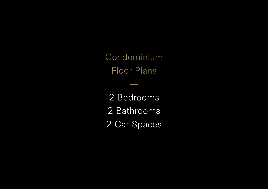Condominium Floor Plans

2 Bedrooms 2 Bathrooms 2 Car Spaces

—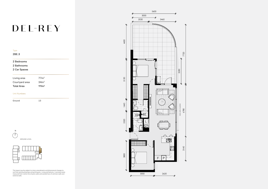This layout may be subject to minor amendments and dimensional changes to suit final working drawings and grid layouts. Living and balcony / courtyard areas measured from centre line of party walls and outside face of common walls and external walls.

# DEL-REY

| <b>Type</b><br>2BE.3 |                   |  |
|----------------------|-------------------|--|
| 2 Bedrooms           |                   |  |
| 2 Bathrooms          |                   |  |
| 2 Car Spaces         |                   |  |
| Living area          | 77m <sup>2</sup>  |  |
| Courtyard area       | 34m <sup>2</sup>  |  |
| <b>Total Area</b>    | 111m <sup>2</sup> |  |
| <b>Unit Numbers</b>  |                   |  |
| Ground               | 13                |  |





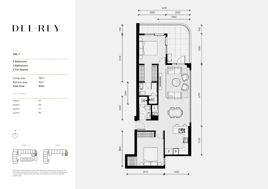This layout may be subject to minor amendments and dimensional changes to suit final working drawings and grid layouts. Living, balcony / courtyard and garage areas measured from centre line of party walls and outside face of common walls and external walls.

## DEL-REY

| 2BE.7 |
|-------|

## 2 Bedrooms

2 Bathrooms

### 2 Car Spaces

| Living area       | 78 <sup>2</sup>  |
|-------------------|------------------|
| Balcony area      | 15m <sup>2</sup> |
| <b>Total Area</b> | 93 <sup>2</sup>  |
|                   |                  |
| Unit Numbers      |                  |

N $\sqrt{}$ 

| 37 |
|----|
| 53 |
| 77 |
| 92 |
|    |





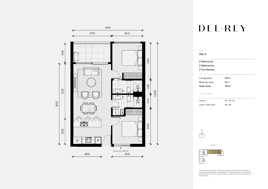This layout may be subject to minor amendments and dimensional changes to suit final working drawings and grid layouts. Living and balcony / courtyard areas measured from centre line of party walls and outside face of common walls and external walls.

- Type 2BE.8  $2B$  $2B<sub>i</sub>$
- $\overline{\phantom{0}}$ Livi Balc
- **Tota**

## DEL-REY

#### **Unit**  $\sim$

| ۰ |   |  |  |
|---|---|--|--|
|   | ÷ |  |  |
|   |   |  |  |
|   |   |  |  |
|   |   |  |  |

Leve

- N $\bigcap$
- 



| 2 Bedrooms          |                  |  |
|---------------------|------------------|--|
| 2 Bathrooms         |                  |  |
| 2 Car Spaces        |                  |  |
|                     |                  |  |
| Living area         | 68m <sup>2</sup> |  |
| Balcony area        | 8m <sup>2</sup>  |  |
| <b>Total Area</b>   | 76m <sup>2</sup> |  |
|                     |                  |  |
| <b>Unit Numbers</b> |                  |  |
|                     |                  |  |
| Level 4             | 87, 89, 91       |  |
| Level 4 Mirrored    | 88,90            |  |

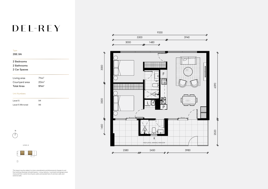This layout may be subject to minor amendments and dimensional changes to suit final working drawings and grid layouts. Living, balcony / courtyard and garage areas measured from centre line of party walls and outside face of common walls and external walls.

# DEL-REY

| the company's company's company's | __ |  |
|-----------------------------------|----|--|
|                                   |    |  |

## 2BE.9A

### 2 Bedrooms

### 2 Bathrooms

### 2 Car Spaces

| Living area       | 71 <sup>2</sup>  |
|-------------------|------------------|
| Courtyard area    | 20 <sup>m²</sup> |
| <b>Total Area</b> | 91m <sup>2</sup> |
|                   |                  |

#### Unit Numbers

| Level 5          | 94 |
|------------------|----|
| Level 5 Mirrored | 96 |









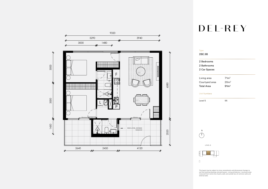This layout may be subject to minor amendments and dimensional changes to suit final working drawings and grid layouts. Living and balcony / courtyard areas measured from centre line of party walls and outside face of common walls and external walls.

## DEL-REY



 $\Box$ 

| e<br>E.9B    |                  |
|--------------|------------------|
| dedrooms     |                  |
| athrooms     |                  |
| Car Spaces   |                  |
| ing area     | 71m <sup>2</sup> |
| urtyard area | 20m <sup>2</sup> |
| al Area:     | 91m <sup>2</sup> |
| t Numbers    |                  |
| el 5         | 95               |
|              |                  |

LEVEL 5